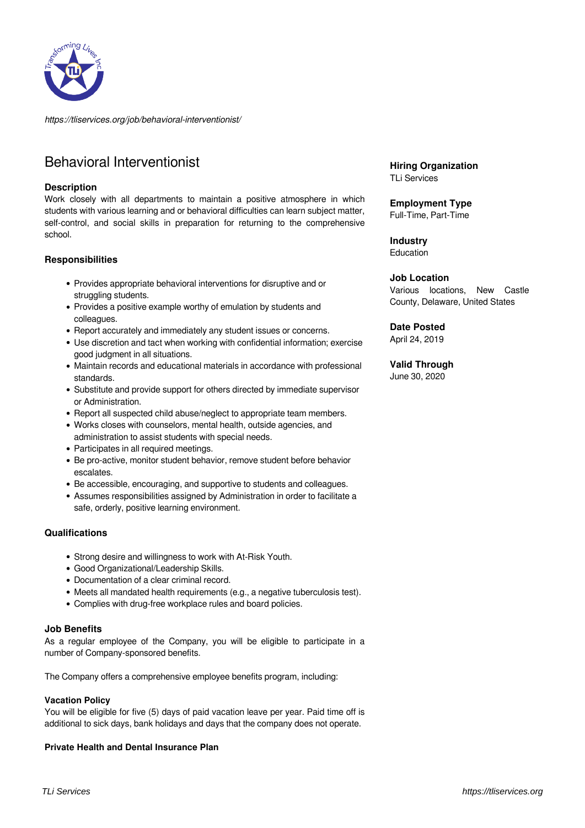

*https://tliservices.org/job/behavioral-interventionist/*

# Behavioral Interventionist

#### **Description**

Work closely with all departments to maintain a positive atmosphere in which students with various learning and or behavioral difficulties can learn subject matter, self-control, and social skills in preparation for returning to the comprehensive school.

#### **Responsibilities**

- Provides appropriate behavioral interventions for disruptive and or struggling students.
- Provides a positive example worthy of emulation by students and colleagues.
- Report accurately and immediately any student issues or concerns.
- Use discretion and tact when working with confidential information; exercise good judgment in all situations.
- Maintain records and educational materials in accordance with professional standards.
- Substitute and provide support for others directed by immediate supervisor or Administration.
- Report all suspected child abuse/neglect to appropriate team members.
- Works closes with counselors, mental health, outside agencies, and administration to assist students with special needs.
- Participates in all required meetings.
- Be pro-active, monitor student behavior, remove student before behavior escalates.
- Be accessible, encouraging, and supportive to students and colleagues.
- Assumes responsibilities assigned by Administration in order to facilitate a safe, orderly, positive learning environment.

## **Qualifications**

- Strong desire and willingness to work with At-Risk Youth.
- Good Organizational/Leadership Skills.
- Documentation of a clear criminal record.
- Meets all mandated health requirements (e.g., a negative tuberculosis test).
- Complies with drug-free workplace rules and board policies.

## **Job Benefits**

As a regular employee of the Company, you will be eligible to participate in a number of Company-sponsored benefits.

The Company offers a comprehensive employee benefits program, including:

# **Vacation Policy**

You will be eligible for five (5) days of paid vacation leave per year. Paid time off is additional to sick days, bank holidays and days that the company does not operate.

# **Private Health and Dental Insurance Plan**

**Hiring Organization** TLi Services

**Employment Type**

Full-Time, Part-Time

**Industry** Education

### **Job Location**

Various locations, New Castle County, Delaware, United States

**Date Posted**

April 24, 2019

## **Valid Through**

June 30, 2020